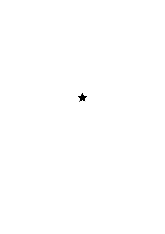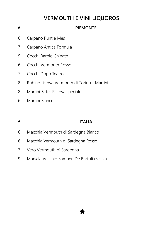# **VERMOUTH E VINI LIQUOROSI**

|   | <b>PIEMONTE</b>                             |
|---|---------------------------------------------|
| 6 | Carpano Punt e Mes                          |
| 7 | Carpano Antica Formula                      |
| 9 | Cocchi Barolo Chinato                       |
| 6 | Cocchi Vermouth Rosso                       |
| 7 | Cocchi Dopo Teatro                          |
| 8 | Rubino riserva Vermouth di Torino - Martini |
| 8 | Martini Bitter Riserva speciale             |
| 6 | Martini Bianco                              |
|   |                                             |

#### **★ ITALIA**

- Macchia Vermouth di Sardegna Bianco
- Macchia Vermouth di Sardegna Rosso
- Vero Vermouth di Sardegna
- Marsala Vecchio Samperi De Bartoli (Sicilia)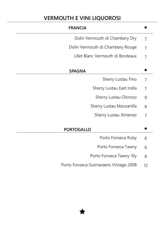# **VERMOUTH E VINI LIQUOROSI**

| <b>FRANCIA</b>                    |                |
|-----------------------------------|----------------|
| Dolin Vermouth di Chambery Dry    | 7              |
| Dolin Vermouth di Chambery Rouge  | 7              |
| Lillet Blanc Vermouth di Bordeaux | 7              |
| <b>SPAGNA</b>                     | ★              |
| Sherry Lustau Fino                | $\overline{7}$ |
| Sherry Lustau East India          | $\overline{7}$ |
| Sherry Lustau Oloroso             | 9              |
| Sherry Lustau Manzanilla          | 8              |
| Sherry Lustau Ximenez             | 7              |
| <b>PORTOGALLO</b>                 | ★              |
| Porto Fonseca Ruby                | 6              |
| Porto Fonseca Tawny               | 6              |

 $\bigstar$ 

- Porto Fonseca Tawny 10y 8
- Porto Fonseca Guimaraens Vintage 2008 12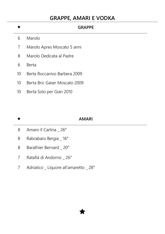# **GRAPPE, AMARI E VODKA**

|                 | <b>GRAPPE</b>                 |
|-----------------|-------------------------------|
| 6               | Marolo                        |
| 7               | Marolo Apres Moscato 5 anni   |
| 8               | Marolo Dedicata al Padre      |
| 6               | Berta                         |
| 10              | Berta Roccanivo Barbera 2009  |
| 10 <sup>1</sup> | Berta Bric Gaian Moscato 2009 |
| 10              | Berta Solo per Gian 2010      |
|                 |                               |

- 8 Amaro II Carlina \_ 26°
- 8 Rabrabaro Bergia \_ 16°
- 8 Barathier Bernard \_ 20°
- 7 Ratafià di Andorno \_ 26°
- 7 Adriatico \_ Liquore all'amaretto \_ 28°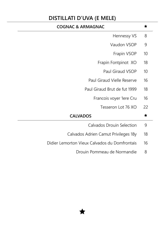# **DISTILLATI D'UVA (E MELE)**

#### **COGNAC & ARMAGNAC**

- Hennessy VS 8
- Vaudon VSOP 9
	- Frapin VSOP 10
- Frapin Fontpinot XO 18
	- Paul Giraud VSOP 10
- Paul Giraud Vielle Reserve 16
- Paul Giraud Brut de fut 1999 18
	- Francois voyer 1ere Cru 16
		- Tesseron Lot 76 XO 22

#### **CALVADOS**

- Calvados Drouin Selection 9
- Calvados Adrien Camut Privileges 18y 18
- Didier Lemorton Vieux Calvados du Domfrontais 16
	- Drouin Pommeau de Normandie 8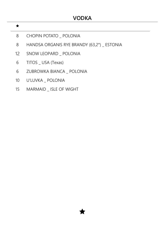## **VODKA**

#### $\star$

- CHOPIN POTATO \_ POLONIA
- HANDSA ORGANIS RYE BRANDY (63,2°) \_ ESTONIA
- SNOW LEOPARD \_ POLONIA
- TITOS \_ USA (Texas)
- ZUBROWKA BIANCA \_ POLONIA
- U'LUVKA \_ POLONIA
- MARMAID \_ ISLE OF WIGHT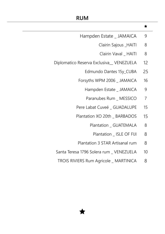# **RUM**

| ★              |                                          |
|----------------|------------------------------------------|
| 9              | Hampden Estate _ JAMAICA                 |
| 8              | Clairin Sajous _HAITI                    |
| 8              | Clairin Vaval HAITI                      |
| 12             | Diplomatico Reserva Exclusiva_VENEZUELA  |
| 25             | Edmundo Dantes 15y_CUBA                  |
| 16             | Forsyths WPM 2006 _ JAMAICA              |
| 9              | Hampden Estate _ JAMAICA                 |
| $\overline{7}$ | Paranubes Rum _ MESSICO                  |
| 15             | Pere Labat Cuveé _ GUADALUPE             |
| 15             | Plantation XO 20th BARBADOS              |
| 8              | Plantation _ GUATEMALA                   |
| 8              | Plantation _ ISLE OF FIJI                |
| 8              | Plantation 3 STAR Artisanal rum          |
| 10             | Santa Teresa 1796 Solera rum _ VENEZUELA |
| 8              | TROIS RIVIERS Rum Agricole _ MARTINICA   |
|                |                                          |
|                |                                          |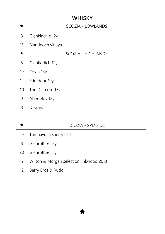|    |                  | SCOZIA - LOWLANDS  |
|----|------------------|--------------------|
| 8  | Glenkinchie 12y  |                    |
| 15 | Blandnoch vinaya |                    |
| ★  |                  | SCOZIA - HIGHLANDS |
| 8  | Glenfiddich 12y  |                    |
| 10 | Oban 14y         |                    |
| 12 | Edradour 10y     |                    |
| 20 | The Dalmore 15y  |                    |
| 9  | Aberfeldy 12y    |                    |
| 8  | Dewars           |                    |
|    |                  |                    |

#### ★ SCOZIA - SPEYSIDE

- Tamnavulin sherry cash
- Glenrothes 12y
- Glenrothes 18y
- Wilson & Morgan selection linkwood 2013
- Berry Bros & Rudd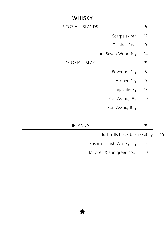| SCOZIA - ISLANDS |                     |    |
|------------------|---------------------|----|
|                  | Scarpa skiren       | 12 |
|                  | Talisker Skye       | 9  |
|                  | Jura Seven Wood 10y | 14 |
| SCOZIA - ISLAY   |                     | ★  |
|                  | Bowmore 12y         | 8  |
|                  | Ardbeg 10y          | 9  |
|                  | Lagavulin 8y        | 15 |
|                  | Port Askaig 8y      | 10 |
|                  | Port Askaig 10 y    | 15 |
|                  |                     |    |
| <b>IRLANDA</b>   |                     | ★  |

- Bushmills black bushisky816y 15
- Bushmills Irish Whisky 16y 15
- Mitchell & son green spot 10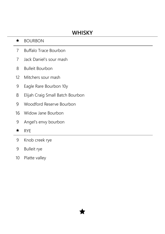| ★               | <b>BOURBON</b>                   |
|-----------------|----------------------------------|
| 7               | <b>Buffalo Trace Bourbon</b>     |
| 7               | Jack Daniel's sour mash          |
| 8               | <b>Bulleit Bourbon</b>           |
| 12 <sup>°</sup> | Mitchers sour mash               |
| 9               | Eagle Rare Bourbon 10y           |
| 8               | Elijah Craig Small Batch Bourbon |
| 9               | Woodford Reserve Bourbon         |
| 16              | Widow Jane Bourbon               |
| 9               | Angel's envy bourbon             |
| ★               | <b>RYE</b>                       |
| 9               | Knob creek rye                   |
| 9               | <b>Bulleit</b> rye               |

Platte valley

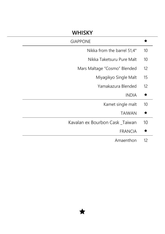| <b>GIAPPONE</b>                |    |
|--------------------------------|----|
| Nikka from the barrel 51,4°    | 10 |
| Nikka Taketsuru Pure Malt      | 10 |
| Mars Maltage "Cosmo" Blended   | 12 |
| Miyagikyo Single Malt          | 15 |
| Yamakazura Blended             | 12 |
| <b>INDIA</b>                   | ★  |
| Kamet single malt              | 10 |
| <b>TAIWAN</b>                  | ★  |
| Kavalan ex Bourbon Cask Taiwan | 10 |
| <b>FRANCIA</b>                 | ★  |
| Amaenthon                      | 12 |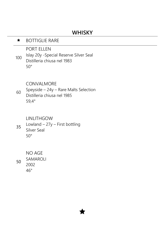#### $\star$  BOTTIGLIF RARE

PORT ELLEN

100 Islay 20y -Special Reserve Silver Seal Distilleria chiusa nel 1983 50°

CONVALMORE

60 Speyside – 24y – Rare Malts Selection Distilleria chiusa nel 1985 59,4°

LINLITHGOW

35 Lowland – 27y – First bottling Silver Seal 50°

50 NO AGE SAMAROLI 2002 46°